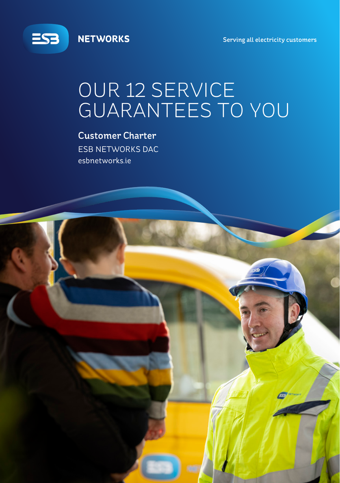

**NETWORKS** 

Serving all electricity customers

# OUR 12 SERVICE **GUARANTEES TO YOU**

**Customer Charter ESB NETWORKS DAC** esbnetworks.ie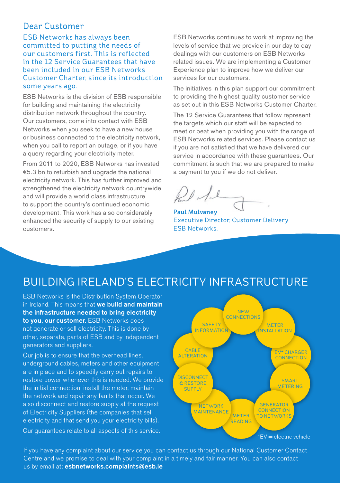#### Dear Customer

ESB Networks has always been committed to putting the needs of our customers first. This is reflected in the 12 Service Guarantees that have been included in our ESB Networks Customer Charter, since its introduction some years ago.

ESB Networks is the division of ESB responsible for building and maintaining the electricity distribution network throughout the country. Our customers, come into contact with ESB Networks when you seek to have a new house or business connected to the electricity network, when you call to report an outage, or if you have a query regarding your electricity meter.

From 2011 to 2020, ESB Networks has invested €5.3 bn to refurbish and upgrade the national electricity network. This has further improved and strengthened the electricity network countrywide and will provide a world class infrastructure to support the country's continued economic development. This work has also considerably enhanced the security of supply to our existing customers.

ESB Networks continues to work at improving the levels of service that we provide in our day to day dealings with our customers on ESB Networks related issues. We are implementing a Customer Experience plan to improve how we deliver our services for our customers.

The initiatives in this plan support our commitment to providing the highest quality customer service as set out in this ESB Networks Customer Charter.

The 12 Service Guarantees that follow represent the targets which our staff will be expected to meet or beat when providing you with the range of ESB Networks related services. Please contact us if you are not satisfied that we have delivered our service in accordance with these guarantees. Our commitment is such that we are prepared to make a payment to you if we do not deliver.

Paul Mulvaney Executive Director, Customer Delivery ESB Networks.

#### BUILDING IRELAND'S ELECTRICITY INFRASTRUCTURE

ESB Networks is the Distribution System Operator in Ireland. This means that we build and maintain the infrastructure needed to bring electricity to you, our customer. ESB Networks does not generate or sell electricity. This is done by other, separate, parts of ESB and by independent generators and suppliers.

Our job is to ensure that the overhead lines, underground cables, meters and other equipment are in place and to speedily carry out repairs to restore power whenever this is needed. We provide the initial connection, install the meter, maintain the network and repair any faults that occur. We also disconnect and restore supply at the request of Electricity Suppliers (the companies that sell electricity and that send you your electricity bills). Our guarantees relate to all aspects of this service.



If you have any complaint about our service you can contact us through our National Customer Contact Centre and we promise to deal with your complaint in a timely and fair manner. You can also contact us by email at: esbnetworks.complaints@esb.ie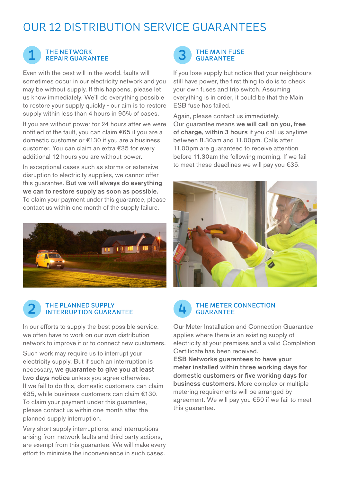#### OUR 12 DISTRIBUTION SERVICE GUARANTEES



#### THE NETWORK REPAIR GUARANTEE THE MAIN FUSE 1 3 GUARANTEE

Even with the best will in the world, faults will sometimes occur in our electricity network and you may be without supply. If this happens, please let us know immediately. We'll do everything possible to restore your supply quickly - our aim is to restore supply within less than 4 hours in 95% of cases.

If you are without power for 24 hours after we were notified of the fault, you can claim €65 if you are a domestic customer or €130 if you are a business customer. You can claim an extra €35 for every additional 12 hours you are without power.

In exceptional cases such as storms or extensive disruption to electricity supplies, we cannot offer this guarantee. But we will always do everything we can to restore supply as soon as possible. To claim your payment under this guarantee, please contact us within one month of the supply failure.



## THE PLANNED SUPPLY<br>INTERRUPTION GUARANTEE

In our efforts to supply the best possible service, we often have to work on our own distribution network to improve it or to connect new customers.

Such work may require us to interrupt your electricity supply. But if such an interruption is necessary, we guarantee to give you at least two days notice unless you agree otherwise. If we fail to do this, domestic customers can claim €35, while business customers can claim €130. To claim your payment under this guarantee, please contact us within one month after the planned supply interruption.

Very short supply interruptions, and interruptions arising from network faults and third party actions, are exempt from this guarantee. We will make every effort to minimise the inconvenience in such cases.



If you lose supply but notice that your neighbours still have power, the first thing to do is to check your own fuses and trip switch. Assuming everything is in order, it could be that the Main ESB fuse has failed.

Again, please contact us immediately. Our guarantee means we will call on you, free of charge, within 3 hours if you call us anytime between 8.30am and 11.00pm. Calls after 11.00pm are guaranteed to receive attention before 11.30am the following morning. If we fail to meet these deadlines we will pay you €35.





### THE METER CONNECTION<br>GUARANTEE

Our Meter Installation and Connection Guarantee applies where there is an existing supply of electricity at your premises and a valid Completion Certificate has been received.

ESB Networks guarantees to have your meter installed within three working days for domestic customers or five working days for business customers. More complex or multiple metering requirements will be arranged by agreement. We will pay you €50 if we fail to meet this quarantee.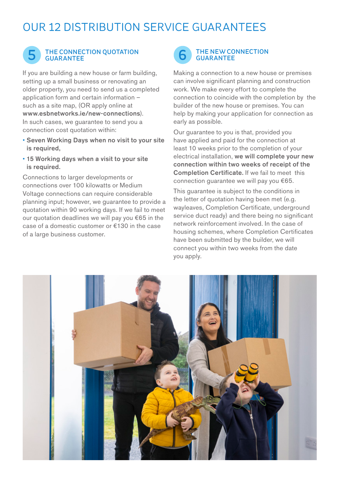### OUR 12 DISTRIBUTION SERVICE GUARANTEES



## THE CONNECTION QUOTATION<br>GUARANTEE

If you are building a new house or farm building, setting up a small business or renovating an older property, you need to send us a completed application form and certain information – such as a site map, (OR apply online at www.esbnetworks.ie/new-connections). In such cases, we guarantee to send you a connection cost quotation within:

- Seven Working Days when no visit to your site is required,
- 15 Working days when a visit to your site is required.

Connections to larger developments or connections over 100 kilowatts or Medium Voltage connections can require considerable planning input; however, we guarantee to provide a quotation within 90 working days. If we fail to meet our quotation deadlines we will pay you €65 in the case of a domestic customer or €130 in the case of a large business customer.



Making a connection to a new house or premises can involve significant planning and construction work. We make every effort to complete the connection to coincide with the completion by the builder of the new house or premises. You can help by making your application for connection as early as possible.

Our guarantee to you is that, provided you have applied and paid for the connection at least 10 weeks prior to the completion of your electrical installation, we will complete your new connection within two weeks of receipt of the Completion Certificate. If we fail to meet this connection guarantee we will pay you €65.

This guarantee is subject to the conditions in the letter of quotation having been met (e.g. wayleaves, Completion Certificate, underground service duct ready) and there being no significant network reinforcement involved. In the case of housing schemes, where Completion Certificates have been submitted by the builder, we will connect you within two weeks from the date you apply.

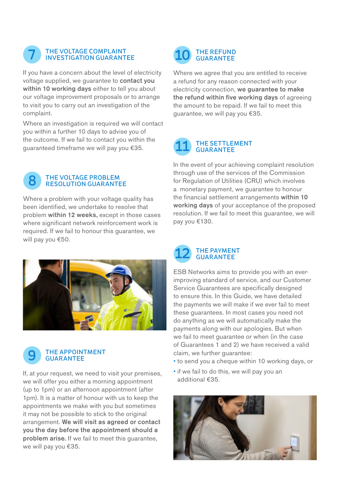

## THE VOLTAGE COMPLAINT<br>INVESTIGATION GUARANTEE

If you have a concern about the level of electricity voltage supplied, we guarantee to contact you within 10 working days either to tell you about our voltage improvement proposals or to arrange to visit you to carry out an investigation of the complaint.

Where an investigation is required we will contact you within a further 10 days to advise you of the outcome. If we fail to contact you within the guaranteed timeframe we will pay you €35.



### THE VOLTAGE PROBLEM<br>RESOLUTION GUARANTEE

Where a problem with your voltage quality has been identified, we undertake to resolve that problem within 12 weeks, except in those cases where significant network reinforcement work is required. If we fail to honour this guarantee, we will pay you €50.





If, at your request, we need to visit your premises, we will offer you either a morning appointment (up to 1pm) or an afternoon appointment (after 1pm). It is a matter of honour with us to keep the appointments we make with you but sometimes it may not be possible to stick to the original arrangement. We will visit as agreed or contact you the day before the appointment should a problem arise. If we fail to meet this guarantee, we will pay you €35.



Where we agree that you are entitled to receive a refund for any reason connected with your electricity connection, we guarantee to make the refund within five working days of agreeing the amount to be repaid. If we fail to meet this guarantee, we will pay you €35.

# THE SETTLEMENT<br>GUARANTEE

In the event of your achieving complaint resolution through use of the services of the Commission for Regulation of Utilities (CRU) which involves a monetary payment, we guarantee to honour the financial settlement arrangements within 10 working days of your acceptance of the proposed resolution. If we fail to meet this guarantee, we will pay you €130.



ESB Networks aims to provide you with an everimproving standard of service, and our Customer Service Guarantees are specifically designed to ensure this. In this Guide, we have detailed the payments we will make if we ever fail to meet these guarantees. In most cases you need not do anything as we will automatically make the payments along with our apologies. But when we fail to meet guarantee or when (in the case of Guarantees 1 and 2) we have received a valid claim, we further guarantee:

- to send you a cheque within 10 working days, or
- if we fail to do this, we will pay you an additional €35.